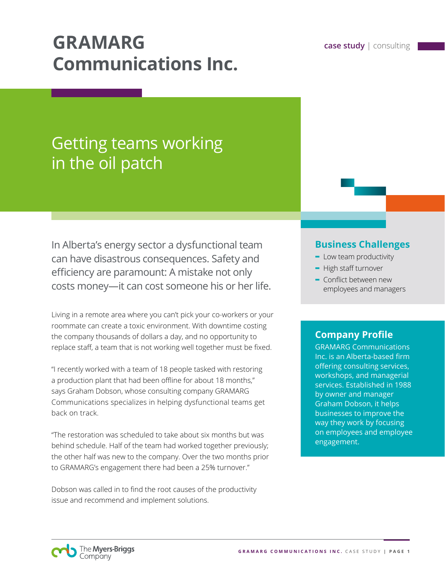# **GRAMARG case study** | consulting **Communications Inc.**

# Getting teams working in the oil patch

In Alberta's energy sector a dysfunctional team can have disastrous consequences. Safety and efficiency are paramount: A mistake not only costs money—it can cost someone his or her life.

Living in a remote area where you can't pick your co-workers or your roommate can create a toxic environment. With downtime costing the company thousands of dollars a day, and no opportunity to replace staff, a team that is not working well together must be fixed.

"I recently worked with a team of 18 people tasked with restoring a production plant that had been offline for about 18 months," says Graham Dobson, whose consulting company GRAMARG Communications specializes in helping dysfunctional teams get back on track.

"The restoration was scheduled to take about six months but was behind schedule. Half of the team had worked together previously; the other half was new to the company. Over the two months prior to GRAMARG's engagement there had been a 25% turnover."

Dobson was called in to find the root causes of the productivity issue and recommend and implement solutions.

## **Business Challenges**

- **-** Low team productivity
- **-** High staff turnover
- **-** Conflict between new employees and managers

# **Company Profile**

GRAMARG Communications Inc. is an Alberta-based firm offering consulting services, workshops, and managerial services. Established in 1988 by owner and manager Graham Dobson, it helps businesses to improve the way they work by focusing on employees and employee engagement.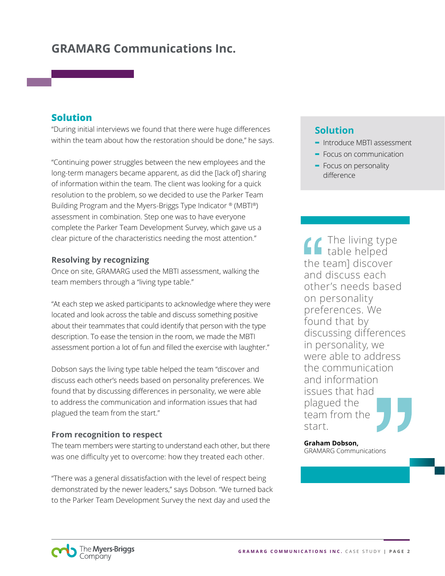# **GRAMARG Communications Inc.**

### **Solution**

"During initial interviews we found that there were huge differences within the team about how the restoration should be done," he says.

"Continuing power struggles between the new employees and the long-term managers became apparent, as did the [lack of] sharing of information within the team. The client was looking for a quick resolution to the problem, so we decided to use the Parker Team Building Program and the Myers-Briggs Type Indicator ® (MBTI®) assessment in combination. Step one was to have everyone complete the Parker Team Development Survey, which gave us a clear picture of the characteristics needing the most attention."

#### **Resolving by recognizing**

Once on site, GRAMARG used the MBTI assessment, walking the team members through a "living type table."

"At each step we asked participants to acknowledge where they were located and look across the table and discuss something positive about their teammates that could identify that person with the type description. To ease the tension in the room, we made the MBTI assessment portion a lot of fun and filled the exercise with laughter."

Dobson says the living type table helped the team "discover and discuss each other's needs based on personality preferences. We found that by discussing differences in personality, we were able to address the communication and information issues that had plagued the team from the start."

#### **From recognition to respect**

The team members were starting to understand each other, but there was one difficulty yet to overcome: how they treated each other.

"There was a general dissatisfaction with the level of respect being demonstrated by the newer leaders," says Dobson. "We turned back to the Parker Team Development Survey the next day and used the

# **Solution**

- **-** Introduce MBTI assessment
- **-** Focus on communication
- **-** Focus on personality difference

The living type table helped the team] discover and discuss each other's needs based on personality preferences. We found that by discussing differences in personality, we were able to address the communication and information issues that had plagued the team from the start.

**Graham Dobson,**  GRAMARG Communications

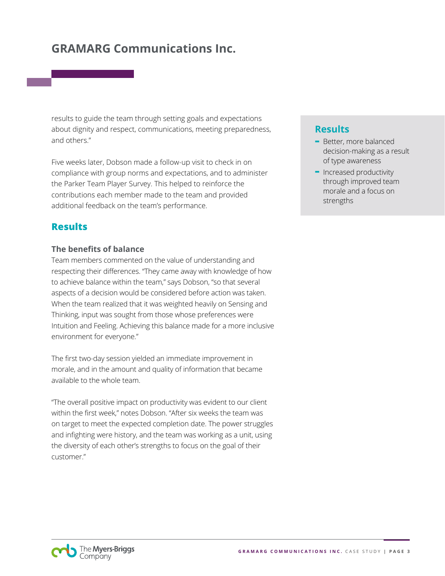# **GRAMARG Communications Inc.**

results to guide the team through setting goals and expectations about dignity and respect, communications, meeting preparedness, and others."

Five weeks later, Dobson made a follow-up visit to check in on compliance with group norms and expectations, and to administer the Parker Team Player Survey. This helped to reinforce the contributions each member made to the team and provided additional feedback on the team's performance.

## **Results**

#### **The benefits of balance**

Team members commented on the value of understanding and respecting their differences. "They came away with knowledge of how to achieve balance within the team," says Dobson, "so that several aspects of a decision would be considered before action was taken. When the team realized that it was weighted heavily on Sensing and Thinking, input was sought from those whose preferences were Intuition and Feeling. Achieving this balance made for a more inclusive environment for everyone."

The first two-day session yielded an immediate improvement in morale, and in the amount and quality of information that became available to the whole team.

"The overall positive impact on productivity was evident to our client within the first week," notes Dobson. "After six weeks the team was on target to meet the expected completion date. The power struggles and infighting were history, and the team was working as a unit, using the diversity of each other's strengths to focus on the goal of their customer."

## **Results**

- **-** Better, more balanced decision-making as a result of type awareness
- **-** Increased productivity through improved team morale and a focus on strengths